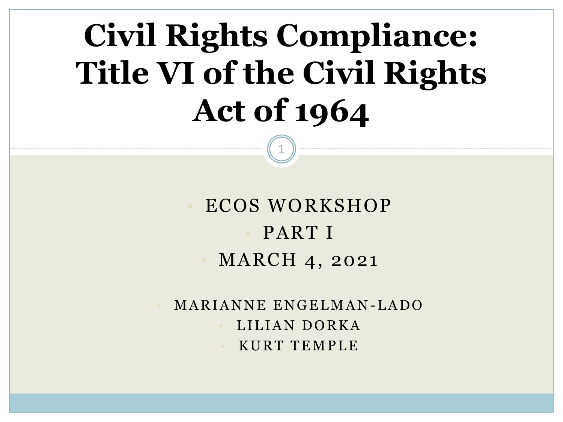# **Civil Rights Compliance: Title VI of the Civil Rights Act of 1964**

1

• ECOS WORKSHOP • PART I • MARCH 4, 2021

MARIANNE ENGELMAN-LADO LILIAN DORKA • K U R T T E M P L E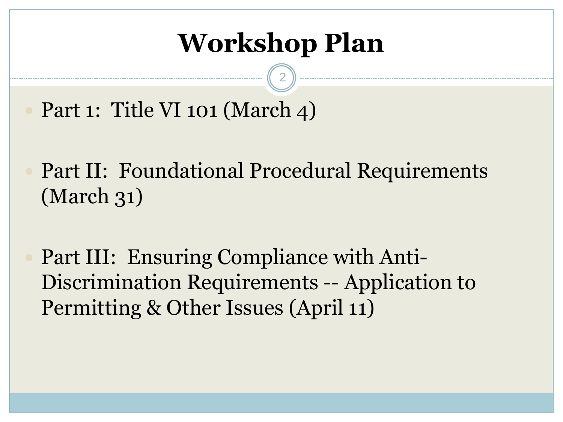### **Workshop Plan**

2

Part 1: Title VI 101 (March 4)

 Part II: Foundational Procedural Requirements (March 31)

 Part III: Ensuring Compliance with Anti-Discrimination Requirements -- Application to Permitting & Other Issues (April 11)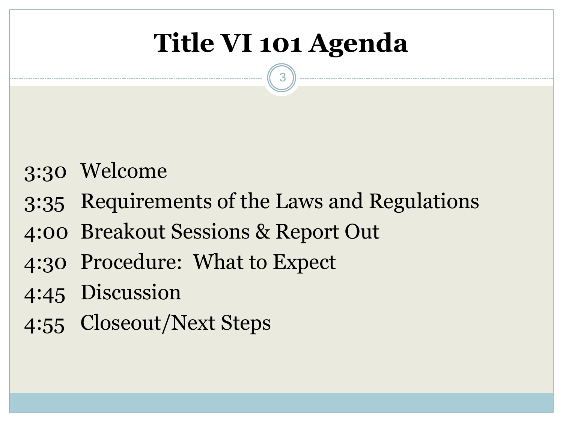## **Title VI 101 Agenda**

- 3:30 Welcome
- 3:35 Requirements of the Laws and Regulations
- 4:00 Breakout Sessions & Report Out
- 4:30 Procedure: What to Expect
- 4:45 Discussion
- 4:55 Closeout/Next Steps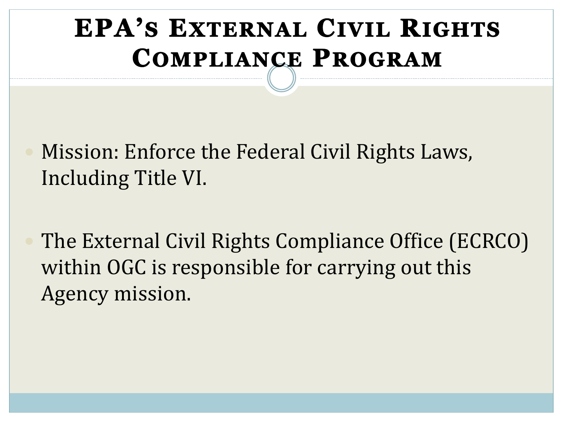### **EPA'S EXTERNAL CIVIL RIGHTS COMPLIANCE PROGRAM**

 Mission: Enforce the Federal Civil Rights Laws, Including Title VI.

 The External Civil Rights Compliance Office (ECRCO) within OGC is responsible for carrying out this Agency mission.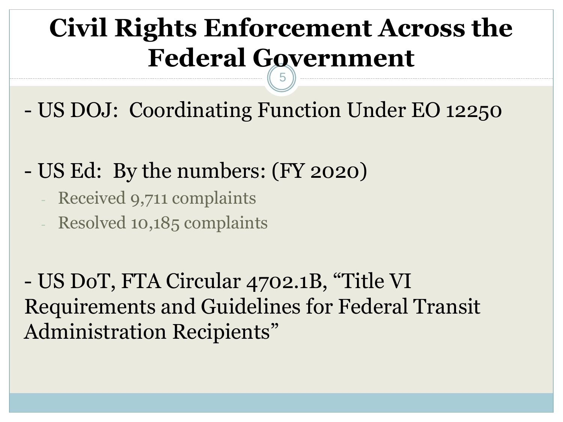#### **Civil Rights Enforcement Across the Federal Government** 5

- US DOJ: Coordinating Function Under EO 12250

- US Ed: By the numbers: (FY 2020)

- Received 9,711 complaints
- Resolved 10,185 complaints

- US DoT, FTA Circular 4702.1B, "Title VI Requirements and Guidelines for Federal Transit Administration Recipients"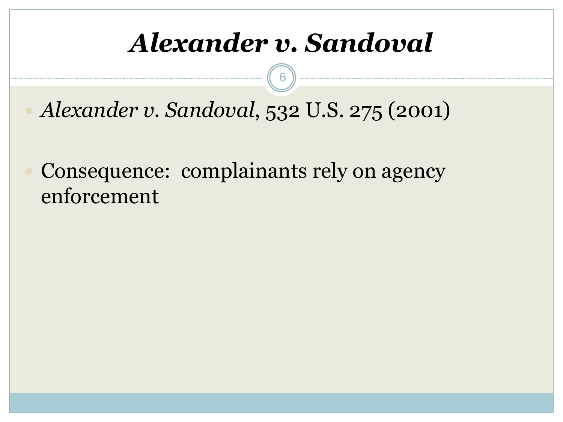### *Alexander v. Sandoval*

6

*Alexander v. Sandoval*, 532 U.S. 275 (2001)

 Consequence: complainants rely on agency enforcement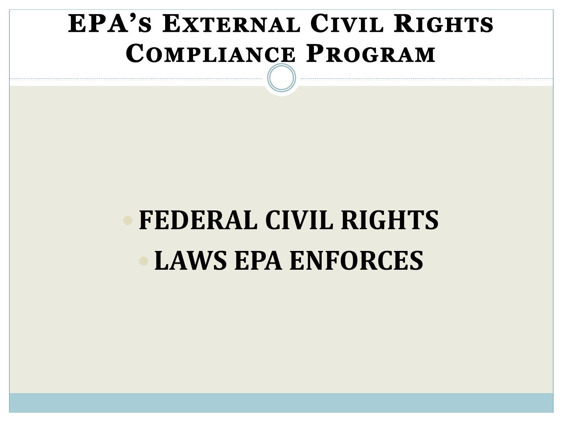### **EPA'S EXTERNAL CIVIL RIGHTS COMPLIANCE PROGRAM**

# **FEDERAL CIVIL RIGHTS LAWS EPA ENFORCES**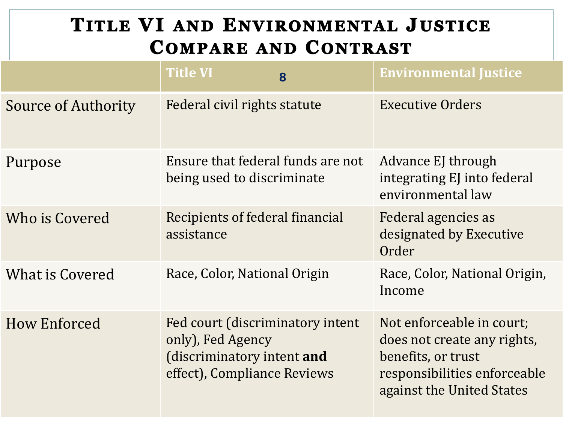#### TITLE VI AND ENVIRONMENTAL JUSTICE **COMPARE AND CONTRAST**

|                            | <b>Title VI</b>                                                                                                    | 8 | <b>Environmental Justice</b>                                                                                                                |
|----------------------------|--------------------------------------------------------------------------------------------------------------------|---|---------------------------------------------------------------------------------------------------------------------------------------------|
| <b>Source of Authority</b> | Federal civil rights statute                                                                                       |   | <b>Executive Orders</b>                                                                                                                     |
| Purpose                    | Ensure that federal funds are not<br>being used to discriminate                                                    |   | Advance EJ through<br>integrating EJ into federal<br>environmental law                                                                      |
| Who is Covered             | <b>Recipients of federal financial</b><br>assistance                                                               |   | Federal agencies as<br>designated by Executive<br>Order                                                                                     |
| <b>What is Covered</b>     | Race, Color, National Origin                                                                                       |   | Race, Color, National Origin,<br>Income                                                                                                     |
| How Enforced               | Fed court (discriminatory intent<br>only), Fed Agency<br>(discriminatory intent and<br>effect), Compliance Reviews |   | Not enforceable in court;<br>does not create any rights,<br>benefits, or trust<br>responsibilities enforceable<br>against the United States |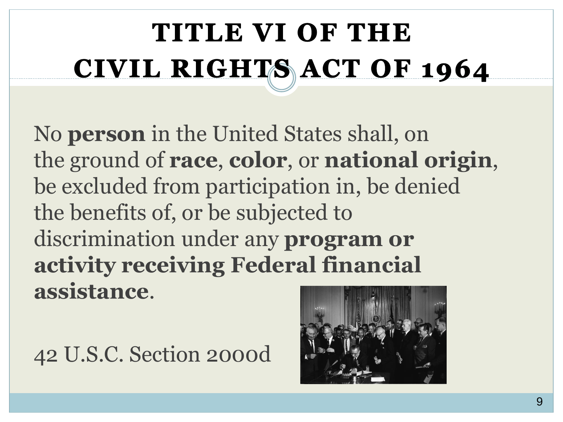# TITLE VI OF THE CIVIL RIGHTS ACT OF 1964

No **person** in the United States shall, on the ground of **race**, **color**, or **national origin**, be excluded from participation in, be denied the benefits of, or be subjected to discrimination under any **program or activity receiving Federal financial assistance**.

42 U.S.C. Section 2000d

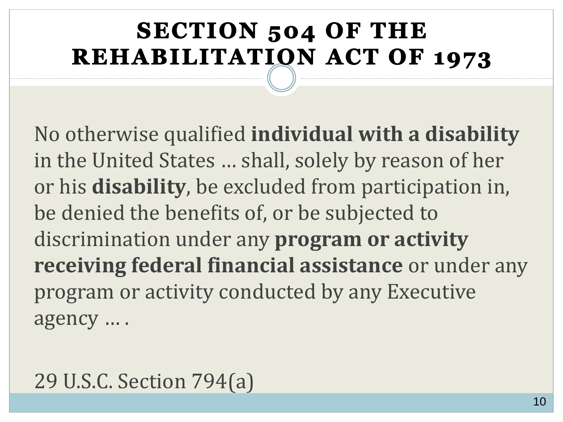#### **SECTION 504 OF THE REHABILITATION ACT OF 1973**

No otherwise qualified **individual with a disability**  in the United States … shall, solely by reason of her or his **disability**, be excluded from participation in, be denied the benefits of, or be subjected to discrimination under any **program or activity receiving federal financial assistance** or under any program or activity conducted by any Executive agency … .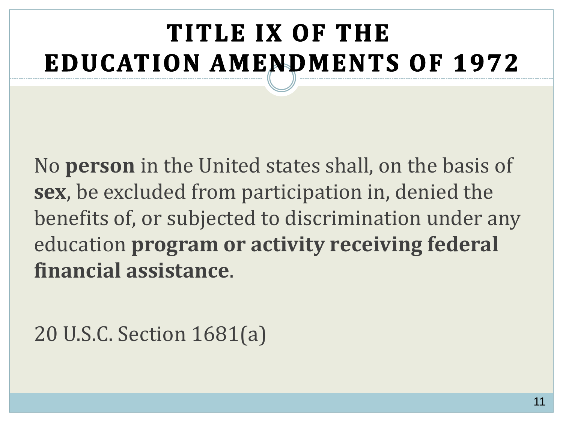## TITLE IX OF THE **EDUCATION AMENDMENTS OF 1972**

No **person** in the United states shall, on the basis of **sex**, be excluded from participation in, denied the benefits of, or subjected to discrimination under any education **program or activity receiving federal financial assistance**.

20 U.S.C. Section 1681(a)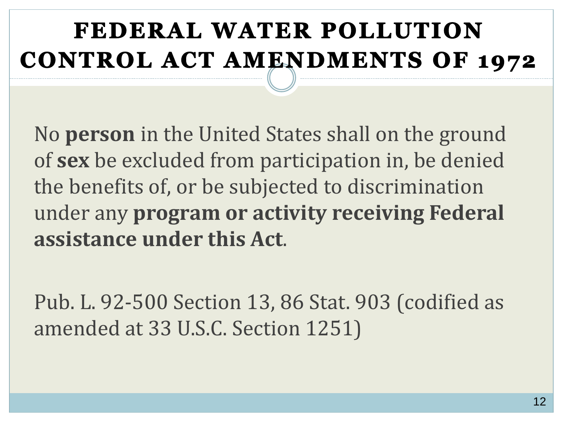### FEDERAL WATER POLLUTION **CONTROL ACT AMENDMENTS OF 1972**

No **person** in the United States shall on the ground of **sex** be excluded from participation in, be denied the benefits of, or be subjected to discrimination under any **program or activity receiving Federal assistance under this Act**.

Pub. L. 92-500 Section 13, 86 Stat. 903 (codified as amended at 33 U.S.C. Section 1251)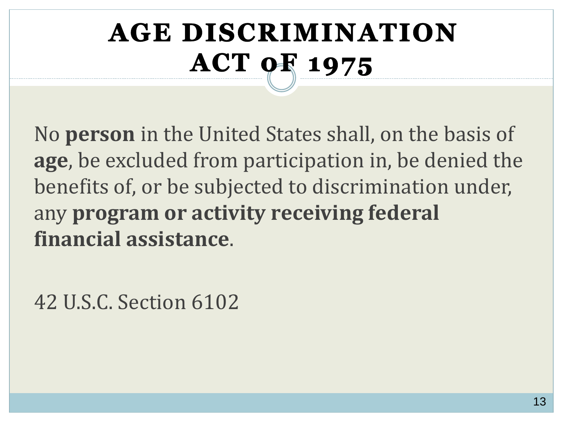## **AGE DISCRIMINATION ACT 04 1975**

No **person** in the United States shall, on the basis of **age**, be excluded from participation in, be denied the benefits of, or be subjected to discrimination under, any **program or activity receiving federal financial assistance**.

42 U.S.C. Section 6102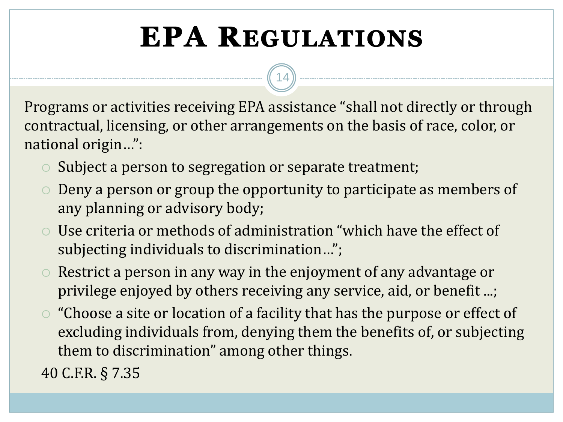## **EPA REGULATIONS**

14

Programs or activities receiving EPA assistance "shall not directly or through contractual, licensing, or other arrangements on the basis of race, color, or national origin…":

- $\circ$  Subject a person to segregation or separate treatment;
- Deny a person or group the opportunity to participate as members of any planning or advisory body;
- Use criteria or methods of administration "which have the effect of subjecting individuals to discrimination…";
- $\circ$  Restrict a person in any way in the enjoyment of any advantage or privilege enjoyed by others receiving any service, aid, or benefit ...;
- "Choose a site or location of a facility that has the purpose or effect of excluding individuals from, denying them the benefits of, or subjecting them to discrimination" among other things.

40 C.F.R. § 7.35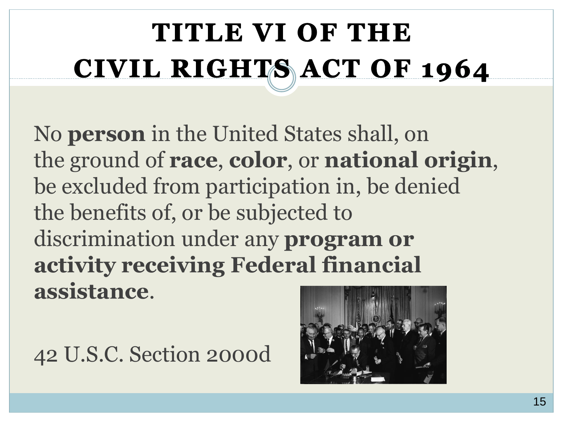# TITLE VI OF THE CIVIL RIGHTS ACT OF 1964

No **person** in the United States shall, on the ground of **race**, **color**, or **national origin**, be excluded from participation in, be denied the benefits of, or be subjected to discrimination under any **program or activity receiving Federal financial assistance**.

42 U.S.C. Section 2000d

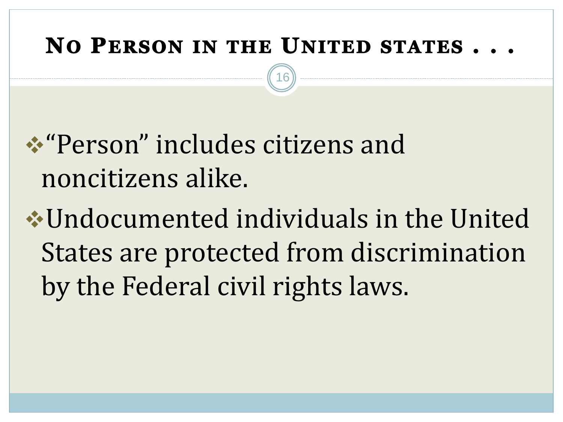#### NO PERSON IN THE UNITED STATES...

16

## ❖"Person" includes citizens and noncitizens alike.

❖Undocumented individuals in the United States are protected from discrimination by the Federal civil rights laws.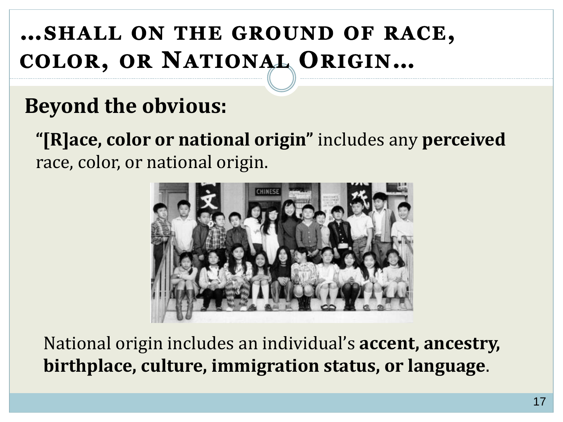#### ... SHALL ON THE GROUND OF RACE, COLOR, OR NATIONAL ORIGIN...

#### **Beyond the obvious:**

**"[R]ace, color or national origin"** includes any **perceived** race, color, or national origin.



National origin includes an individual's **accent, ancestry, birthplace, culture, immigration status, or language**.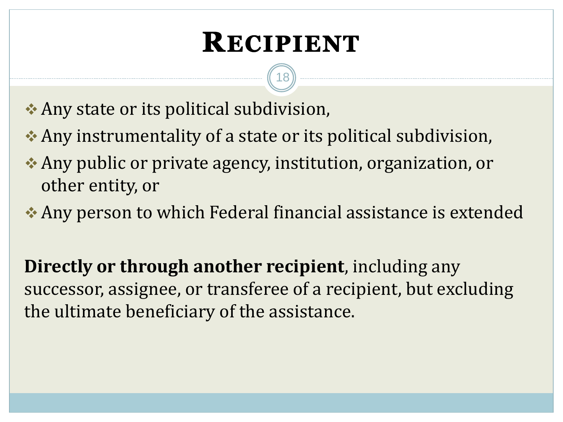## **RECIPIENT**

18

❖ Any state or its political subdivision,

- ❖ Any instrumentality of a state or its political subdivision,
- ❖ Any public or private agency, institution, organization, or other entity, or
- ❖ Any person to which Federal financial assistance is extended

**Directly or through another recipient**, including any successor, assignee, or transferee of a recipient, but excluding the ultimate beneficiary of the assistance.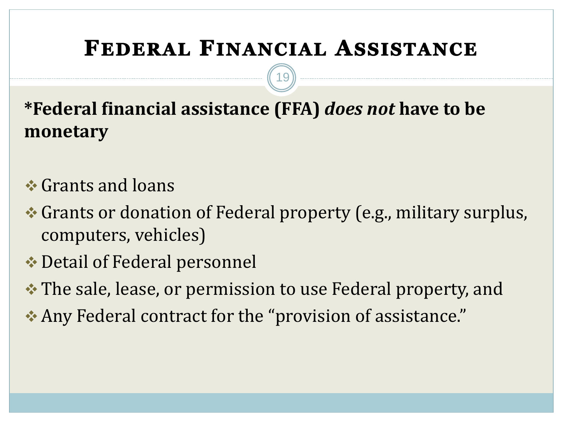#### FEDERAL FINANCIAL ASSISTANCE

19

**\*Federal financial assistance (FFA)** *does not* **have to be monetary**

- ❖ Grants and loans
- ❖ Grants or donation of Federal property (e.g., military surplus, computers, vehicles)
- ❖ Detail of Federal personnel
- ❖ The sale, lease, or permission to use Federal property, and
- ❖ Any Federal contract for the "provision of assistance."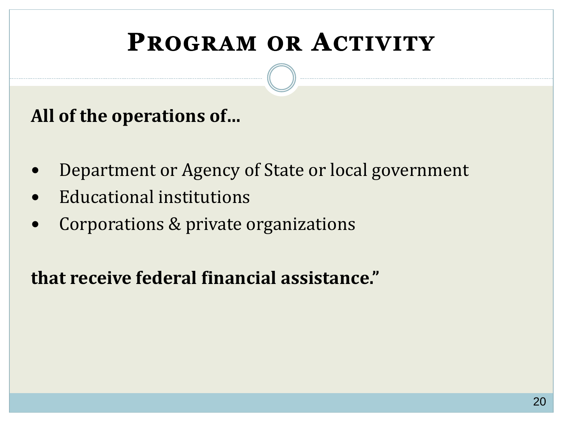### **PROGRAM OR ACTIVITY**

#### **All of the operations of…**

- Department or Agency of State or local government
- Educational institutions
- Corporations & private organizations

#### **that receive federal financial assistance."**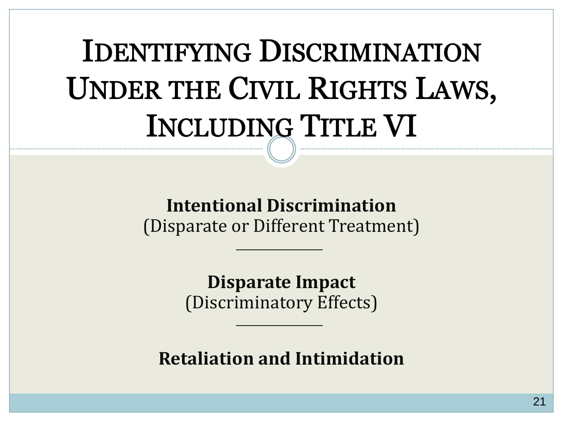# **IDENTIFYING DISCRIMINATION** UNDER THE CIVIL RIGHTS LAWS, **INCLUDING TITLE VI**

#### **Intentional Discrimination**  (Disparate or Different Treatment)

**Disparate Impact**  (Discriminatory Effects)

**Retaliation and Intimidation**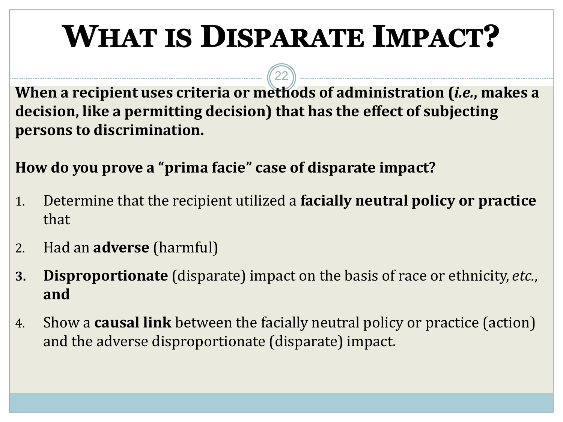# **WHAT IS DISPARATE IMPACT?**

22

**When a recipient uses criteria or methods of administration (***i.e.***, makes a decision, like a permitting decision) that has the effect of subjecting persons to discrimination.**

**How do you prove a "prima facie" case of disparate impact?**

- 1. Determine that the recipient utilized a **facially neutral policy or practice**  that
- 2. Had an **adverse** (harmful)
- **3. Disproportionate** (disparate) impact on the basis of race or ethnicity, *etc.*, **and**
- 4. Show a **causal link** between the facially neutral policy or practice (action) and the adverse disproportionate (disparate) impact.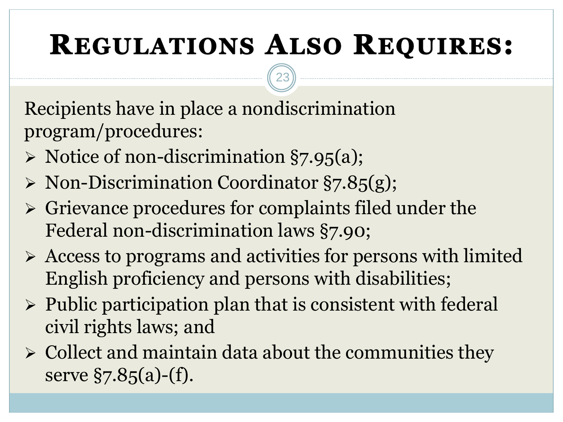## **REGULATIONS ALSO REQUIRES:**

23

Recipients have in place a nondiscrimination program/procedures:

- ➢ Notice of non-discrimination §7.95(a);
- ➢ Non-Discrimination Coordinator §7.85(g);
- ➢ Grievance procedures for complaints filed under the Federal non-discrimination laws §7.90;
- ➢ Access to programs and activities for persons with limited English proficiency and persons with disabilities;
- ➢ Public participation plan that is consistent with federal civil rights laws; and
- $\triangleright$  Collect and maintain data about the communities they serve  $\S$ 7.85(a)-(f).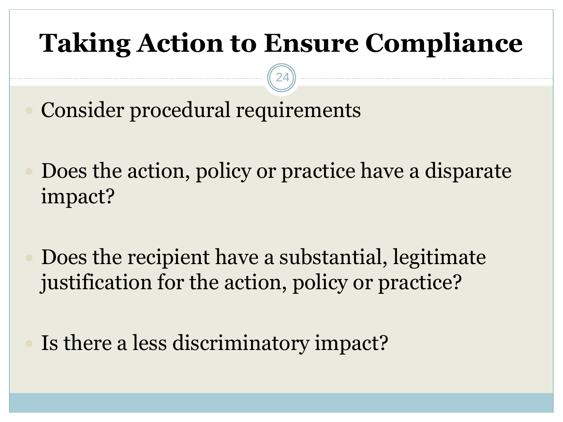### **Taking Action to Ensure Compliance**

24

Consider procedural requirements

 Does the action, policy or practice have a disparate impact?

 Does the recipient have a substantial, legitimate justification for the action, policy or practice?

Is there a less discriminatory impact?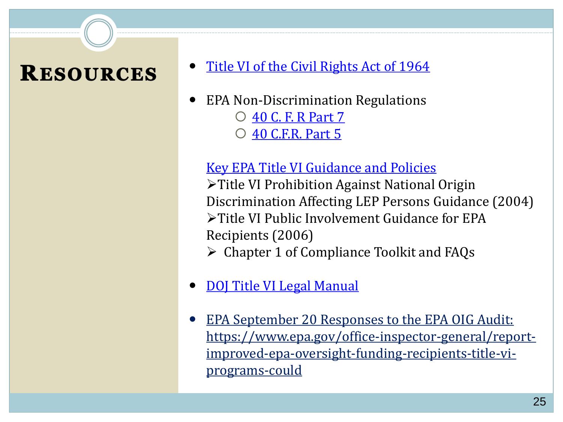#### **RESOURCES**

- [Title VI of the Civil Rights Act of 1964](http://www.justice.gov/crt/about/cor/coord/titlevi.php)
- EPA Non-Discrimination Regulations
	- [40 C. F. R Part 7](https://www.ecfr.gov/cgi-bin/text-idx?SID=4eed14444d685ee884f33b945c997ca4&mc=true&tpl=/ecfrbrowse/Title40/40cfr5_main_02.tpl) [40 C.F.R. Part 5](https://www.ecfr.gov/cgi-bin/text-idx?SID=4eed14444d685ee884f33b945c997ca4&mc=true&tpl=/ecfrbrowse/Title40/40cfr5_main_02.tpl)

#### [Key EPA Title VI Guidance and Policies](https://www.epa.gov/ogc/ecrco-guidance-and-policies)

➢Title VI Prohibition Against National Origin Discrimination Affecting LEP Persons Guidance (2004) ➢Title VI Public Involvement Guidance for EPA Recipients (2006)

- $\triangleright$  Chapter 1 of Compliance Toolkit and FAQs
- [DOJ Title VI Legal Manual](https://www.justice.gov/crt/fcs/T6manual)
- EPA September 20 Responses to the EPA OIG Audit: [https://www.epa.gov/office-inspector-general/report](https://www.epa.gov/office-inspector-general/report-improved-epa-oversight-funding-recipients-title-vi-programs-could)improved-epa-oversight-funding-recipients-title-viprograms-could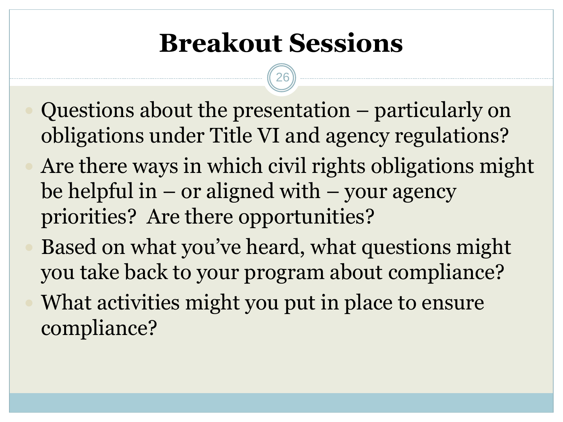### **Breakout Sessions**

- Questions about the presentation particularly on obligations under Title VI and agency regulations?
- Are there ways in which civil rights obligations might be helpful in  $-$  or aligned with  $-$  your agency priorities? Are there opportunities?
- Based on what you've heard, what questions might you take back to your program about compliance? What activities might you put in place to ensure compliance?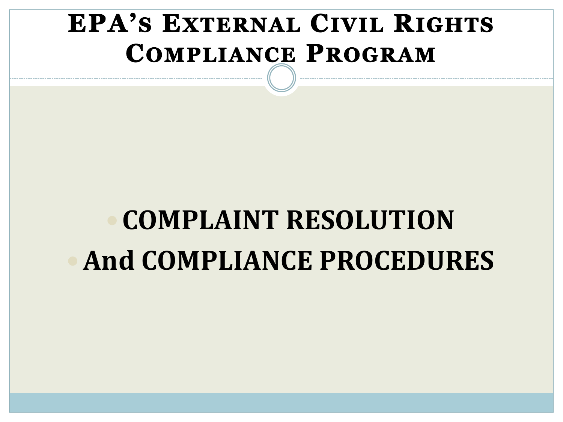### **EPA'S EXTERNAL CIVIL RIGHTS COMPLIANCE PROGRAM**

# **COMPLAINT RESOLUTION And COMPLIANCE PROCEDURES**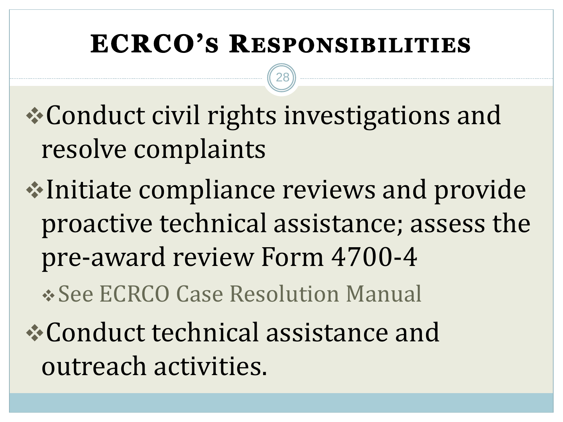#### **ECRCO'S RESPONSIBILITIES**

28

❖Conduct civil rights investigations and resolve complaints

❖Initiate compliance reviews and provide proactive technical assistance; assess the pre-award review Form 4700-4

❖See ECRCO Case Resolution Manual

❖Conduct technical assistance and outreach activities.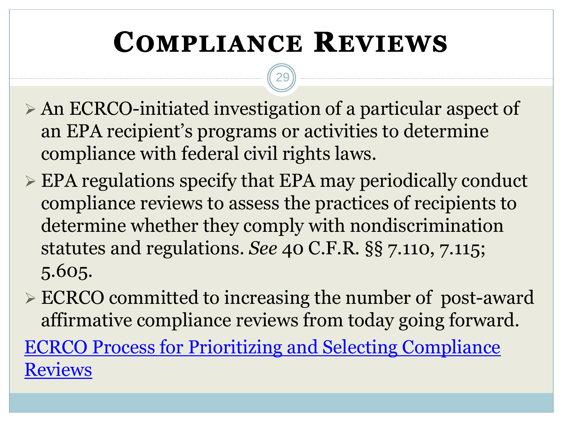## **COMPLIANCE REVIEWS**

- ➢ An ECRCO-initiated investigation of a particular aspect of an EPA recipient's programs or activities to determine compliance with federal civil rights laws.
- ➢ EPA regulations specify that EPA may periodically conduct compliance reviews to assess the practices of recipients to determine whether they comply with nondiscrimination statutes and regulations. *See* 40 C.F.R. §§ 7.110, 7.115; 5.605.
- ➢ ECRCO committed to increasing the number of post-award affirmative compliance reviews from today going forward. [ECRCO Process for Prioritizing and Selecting Compliance](https://www.epa.gov/system/files/documents/2022-01/01-06-20-ecrco-process-for-prioritizing-and-selecting-affirmative-compliance-reviews.pdf)  Reviews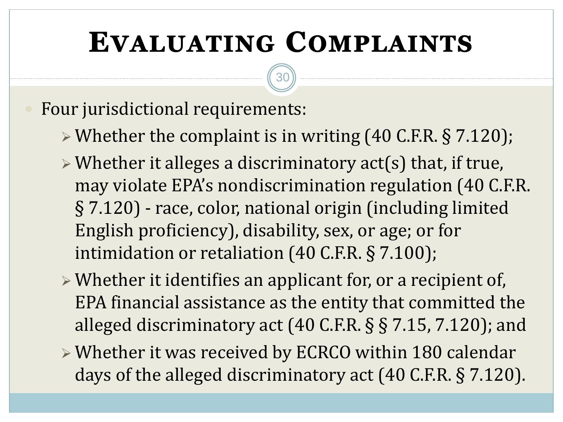## **EVALUATING COMPLAINTS**

30

#### Four jurisdictional requirements:

- ➢ Whether the complaint is in writing (40 C.F.R. § 7.120);
- ➢ Whether it alleges a discriminatory act(s) that, if true, may violate EPA's nondiscrimination regulation (40 C.F.R. § 7.120) - race, color, national origin (including limited English proficiency), disability, sex, or age; or for intimidation or retaliation (40 C.F.R. § 7.100);
- ➢ Whether it identifies an applicant for, or a recipient of, EPA financial assistance as the entity that committed the alleged discriminatory act (40 C.F.R. § § 7.15, 7.120); and
- ➢ Whether it was received by ECRCO within 180 calendar days of the alleged discriminatory act (40 C.F.R. § 7.120).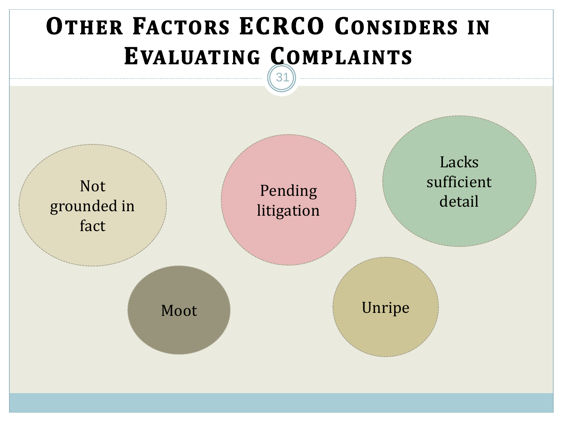### **OTHER FACTORS ECRCO CONSIDERS IN EVALUATING COMPLAINTS**

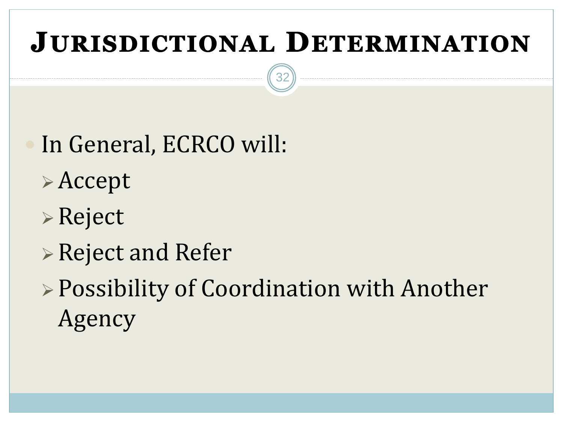## **JURISDICTIONAL DETERMINATION**

- In General, ECRCO will:
- ➢ Accept
- ➢ Reject
- ➢ Reject and Refer
- ➢ Possibility of Coordination with Another Agency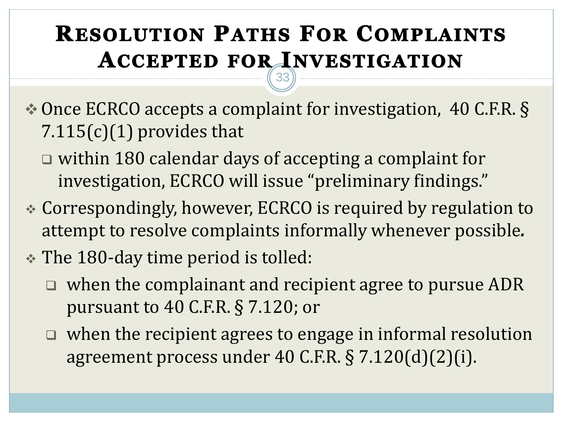#### **RESOLUTION PATHS FOR COMPLAINTS ACCEPTED FOR INVESTIGATION** 33

❖ Once ECRCO accepts a complaint for investigation, 40 C.F.R. §  $7.115(c)(1)$  provides that

- ❑ within 180 calendar days of accepting a complaint for investigation, ECRCO will issue "preliminary findings."
- ❖ Correspondingly, however, ECRCO is required by regulation to attempt to resolve complaints informally whenever possible*.*
- ❖ The 180-day time period is tolled:
	- ❑ when the complainant and recipient agree to pursue ADR pursuant to 40 C.F.R. § 7.120; or
	- ❑ when the recipient agrees to engage in informal resolution agreement process under 40 C.F.R. § 7.120(d)(2)(i).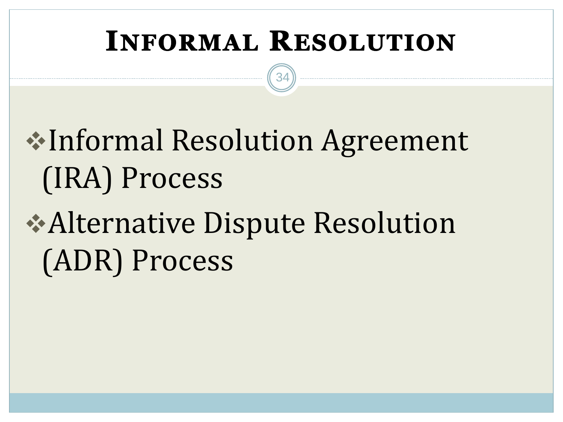## **INFORMAL RESOLUTION**

34

# ❖Informal Resolution Agreement (IRA) Process

# ❖Alternative Dispute Resolution (ADR) Process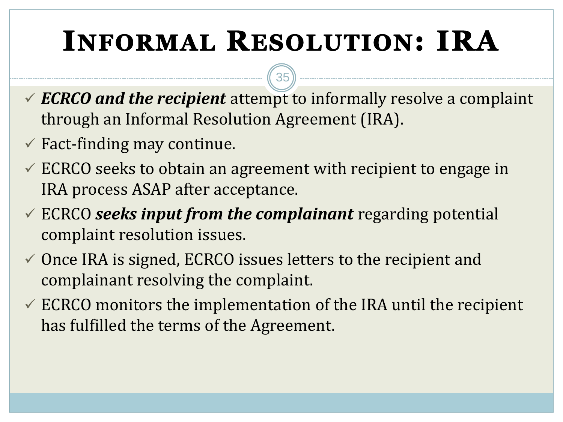# **INFORMAL RESOLUTION: IRA**

✓ *ECRCO and the recipient* attempt to informally resolve a complaint through an Informal Resolution Agreement (IRA).

- $\checkmark$  Fact-finding may continue.
- $\checkmark$  ECRCO seeks to obtain an agreement with recipient to engage in IRA process ASAP after acceptance.
- ✓ ECRCO *seeks input from the complainant* regarding potential complaint resolution issues.
- $\checkmark$  Once IRA is signed, ECRCO issues letters to the recipient and complainant resolving the complaint.
- $\checkmark$  ECRCO monitors the implementation of the IRA until the recipient has fulfilled the terms of the Agreement.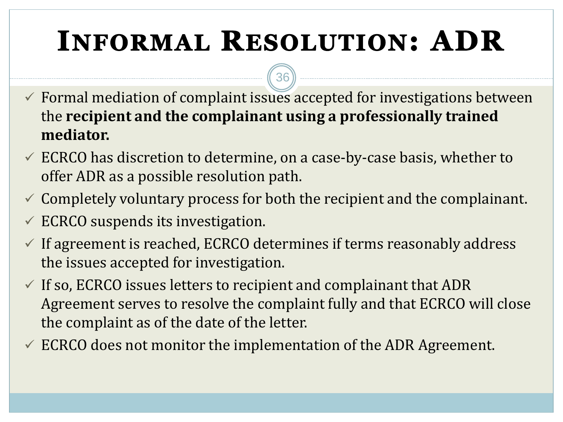# **INFORMAL RESOLUTION: ADR**

- $\checkmark$  Formal mediation of complaint issues accepted for investigations between the **recipient and the complainant using a professionally trained mediator.**
- $\checkmark$  ECRCO has discretion to determine, on a case-by-case basis, whether to offer ADR as a possible resolution path.
- $\checkmark$  Completely voluntary process for both the recipient and the complainant.
- $\checkmark$  ECRCO suspends its investigation.
- $\checkmark$  If agreement is reached, ECRCO determines if terms reasonably address the issues accepted for investigation.
- $\checkmark$  If so, ECRCO issues letters to recipient and complainant that ADR Agreement serves to resolve the complaint fully and that ECRCO will close the complaint as of the date of the letter.
- $\checkmark$  ECRCO does not monitor the implementation of the ADR Agreement.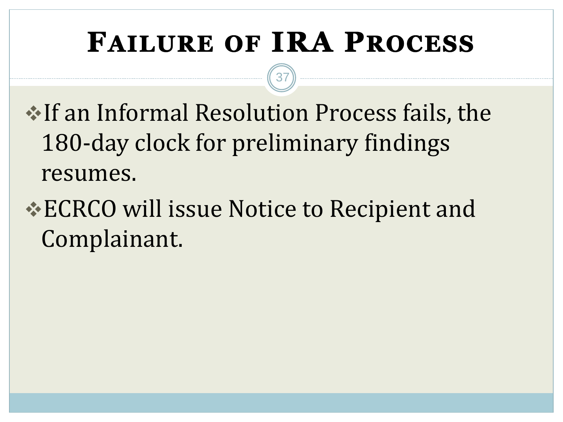## **FAILURE OF IRA PROCESS**

37

❖If an Informal Resolution Process fails, the 180-day clock for preliminary findings resumes.

### ❖ECRCO will issue Notice to Recipient and Complainant.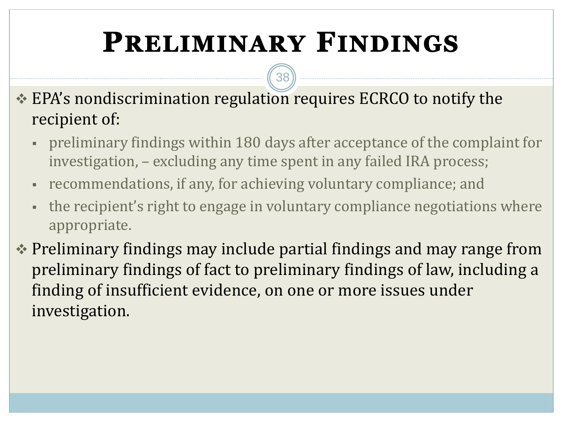## **PRELIMINARY FINDINGS**

38

❖ EPA's nondiscrimination regulation requires ECRCO to notify the recipient of:

- preliminary findings within 180 days after acceptance of the complaint for investigation, – excluding any time spent in any failed IRA process;
- recommendations, if any, for achieving voluntary compliance; and
- the recipient's right to engage in voluntary compliance negotiations where appropriate.
- ❖ Preliminary findings may include partial findings and may range from preliminary findings of fact to preliminary findings of law, including a finding of insufficient evidence, on one or more issues under investigation.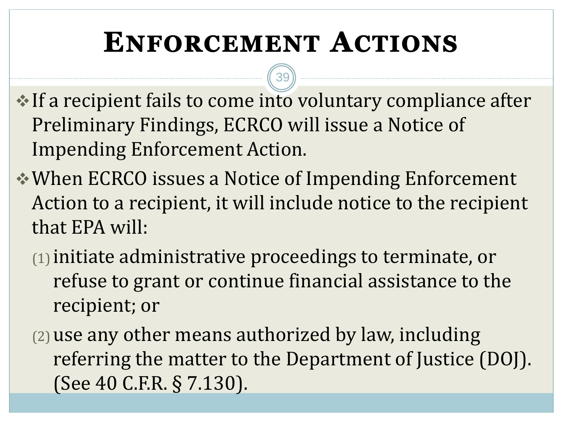## **ENFORCEMENT ACTIONS**

- ❖If a recipient fails to come into voluntary compliance after Preliminary Findings, ECRCO will issue a Notice of Impending Enforcement Action.
- ❖When ECRCO issues a Notice of Impending Enforcement Action to a recipient, it will include notice to the recipient that EPA will:
	- (1)initiate administrative proceedings to terminate, or refuse to grant or continue financial assistance to the recipient; or
	- (2)use any other means authorized by law, including referring the matter to the Department of Justice (DOJ). (See 40 C.F.R. § 7.130).